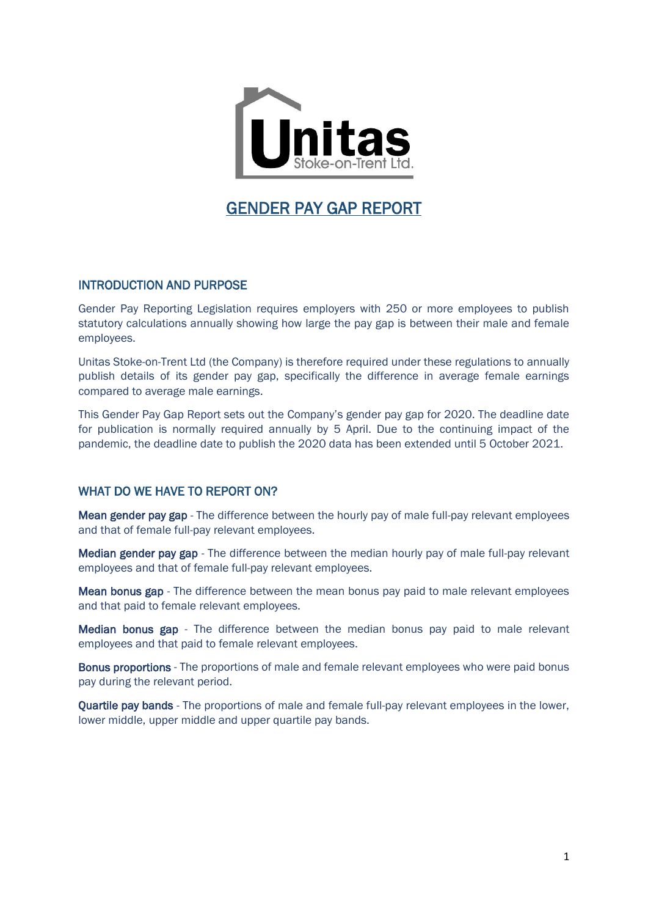

# GENDER PAY GAP REPORT

## INTRODUCTION AND PURPOSE

Gender Pay Reporting Legislation requires employers with 250 or more employees to publish statutory calculations annually showing how large the pay gap is between their male and female employees.

Unitas Stoke-on-Trent Ltd (the Company) is therefore required under these regulations to annually publish details of its gender pay gap, specifically the difference in average female earnings compared to average male earnings.

This Gender Pay Gap Report sets out the Company's gender pay gap for 2020. The deadline date for publication is normally required annually by 5 April. Due to the continuing impact of the pandemic, the deadline date to publish the 2020 data has been extended until 5 October 2021.

# WHAT DO WE HAVE TO REPORT ON?

Mean gender pay gap - The difference between the hourly pay of male full-pay relevant employees and that of female full-pay relevant employees.

Median gender pay gap - The difference between the median hourly pay of male full-pay relevant employees and that of female full-pay relevant employees.

Mean bonus gap - The difference between the mean bonus pay paid to male relevant employees and that paid to female relevant employees.

Median bonus gap - The difference between the median bonus pay paid to male relevant employees and that paid to female relevant employees.

Bonus proportions - The proportions of male and female relevant employees who were paid bonus pay during the relevant period.

Quartile pay bands - The proportions of male and female full-pay relevant employees in the lower, lower middle, upper middle and upper quartile pay bands.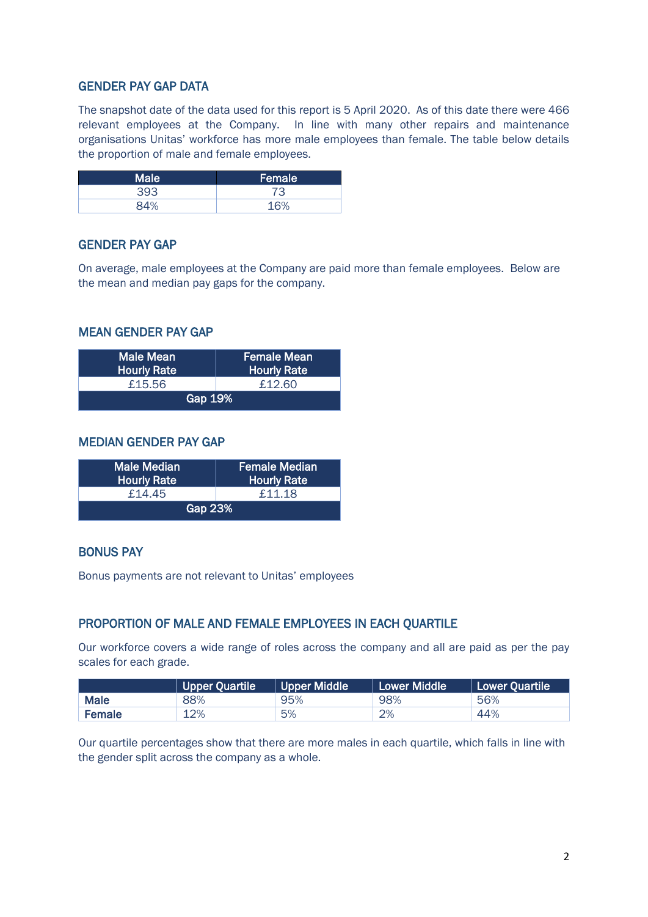# GENDER PAY GAP DATA

The snapshot date of the data used for this report is 5 April 2020. As of this date there were 466 relevant employees at the Company. In line with many other repairs and maintenance organisations Unitas' workforce has more male employees than female. The table below details the proportion of male and female employees.

| Male <sup>'</sup> | Female |  |
|-------------------|--------|--|
| 393               |        |  |
| QAO               | 1.60   |  |

## GENDER PAY GAP

On average, male employees at the Company are paid more than female employees. Below are the mean and median pay gaps for the company.

## MEAN GENDER PAY GAP

| Male Mean<br><b>Hourly Rate</b> | Female Mean<br><b>Hourly Rate</b> |  |  |  |
|---------------------------------|-----------------------------------|--|--|--|
| £15.56                          | £12.60                            |  |  |  |
| Gap 19%                         |                                   |  |  |  |

## MEDIAN GENDER PAY GAP

| <b>Male Median</b><br><b>Hourly Rate</b> | <b>Female Median</b><br><b>Hourly Rate</b> |  |  |  |
|------------------------------------------|--------------------------------------------|--|--|--|
| £14.45                                   | £11.18                                     |  |  |  |
| Gap 23%                                  |                                            |  |  |  |

### BONUS PAY

Bonus payments are not relevant to Unitas' employees

#### PROPORTION OF MALE AND FEMALE EMPLOYEES IN EACH QUARTILE

Our workforce covers a wide range of roles across the company and all are paid as per the pay scales for each grade.

|             | Upper Quartile | <b>Upper Middle</b> | Lower Middle | <b>Lower Quartile</b> |
|-------------|----------------|---------------------|--------------|-----------------------|
| <b>Male</b> | 88%            | 95%                 | 98%          | 56%                   |
| Female      | 12%            | 5%                  | 2%           | 44%                   |

Our quartile percentages show that there are more males in each quartile, which falls in line with the gender split across the company as a whole.